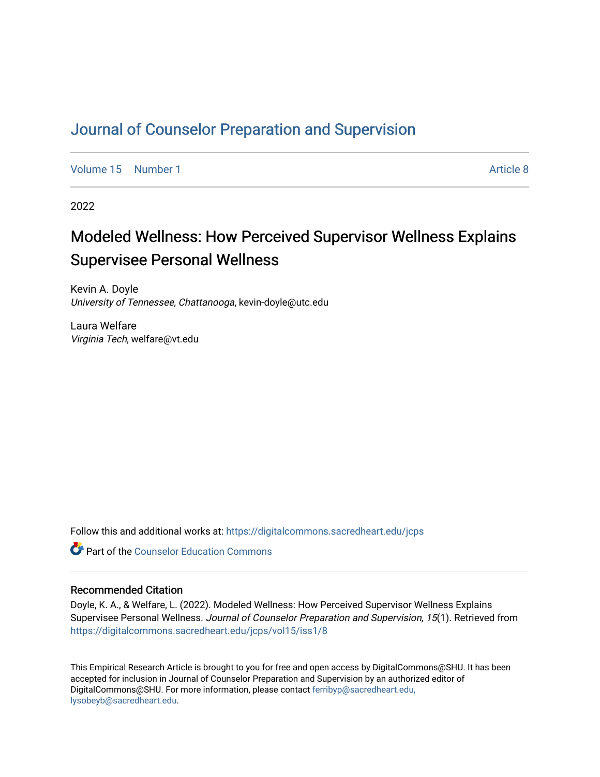# [Journal of Counselor Preparation and Supervision](https://digitalcommons.sacredheart.edu/jcps)

[Volume 15](https://digitalcommons.sacredheart.edu/jcps/vol15) [Number 1](https://digitalcommons.sacredheart.edu/jcps/vol15/iss1) Article 8

2022

# Modeled Wellness: How Perceived Supervisor Wellness Explains Supervisee Personal Wellness

Kevin A. Doyle University of Tennessee, Chattanooga, kevin-doyle@utc.edu

Laura Welfare Virginia Tech, welfare@vt.edu

Follow this and additional works at: [https://digitalcommons.sacredheart.edu/jcps](https://digitalcommons.sacredheart.edu/jcps?utm_source=digitalcommons.sacredheart.edu%2Fjcps%2Fvol15%2Fiss1%2F8&utm_medium=PDF&utm_campaign=PDFCoverPages) 

**C** Part of the Counselor Education Commons

# Recommended Citation

Doyle, K. A., & Welfare, L. (2022). Modeled Wellness: How Perceived Supervisor Wellness Explains Supervisee Personal Wellness. Journal of Counselor Preparation and Supervision, 15(1). Retrieved from [https://digitalcommons.sacredheart.edu/jcps/vol15/iss1/8](https://digitalcommons.sacredheart.edu/jcps/vol15/iss1/8?utm_source=digitalcommons.sacredheart.edu%2Fjcps%2Fvol15%2Fiss1%2F8&utm_medium=PDF&utm_campaign=PDFCoverPages)

This Empirical Research Article is brought to you for free and open access by DigitalCommons@SHU. It has been accepted for inclusion in Journal of Counselor Preparation and Supervision by an authorized editor of DigitalCommons@SHU. For more information, please contact [ferribyp@sacredheart.edu,](mailto:ferribyp@sacredheart.edu,%20lysobeyb@sacredheart.edu) [lysobeyb@sacredheart.edu](mailto:ferribyp@sacredheart.edu,%20lysobeyb@sacredheart.edu).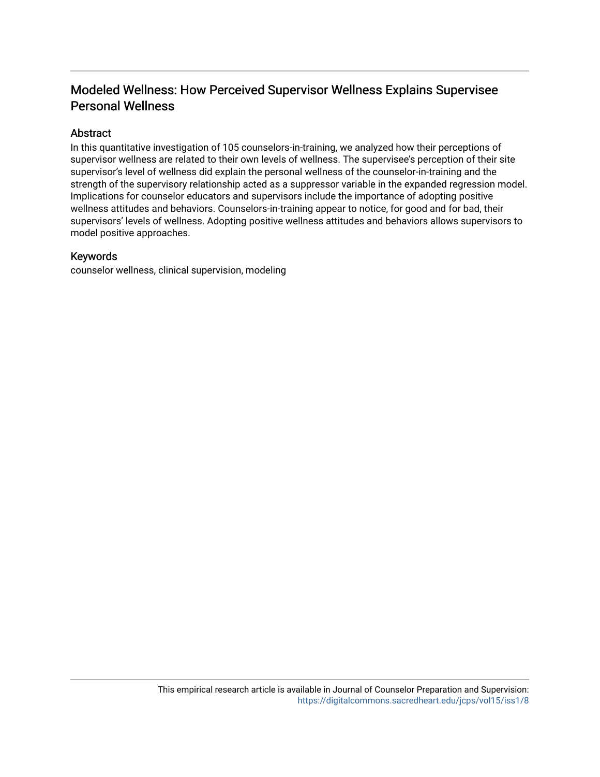# Modeled Wellness: How Perceived Supervisor Wellness Explains Supervisee Personal Wellness

# Abstract

In this quantitative investigation of 105 counselors-in-training, we analyzed how their perceptions of supervisor wellness are related to their own levels of wellness. The supervisee's perception of their site supervisor's level of wellness did explain the personal wellness of the counselor-in-training and the strength of the supervisory relationship acted as a suppressor variable in the expanded regression model. Implications for counselor educators and supervisors include the importance of adopting positive wellness attitudes and behaviors. Counselors-in-training appear to notice, for good and for bad, their supervisors' levels of wellness. Adopting positive wellness attitudes and behaviors allows supervisors to model positive approaches.

# Keywords

counselor wellness, clinical supervision, modeling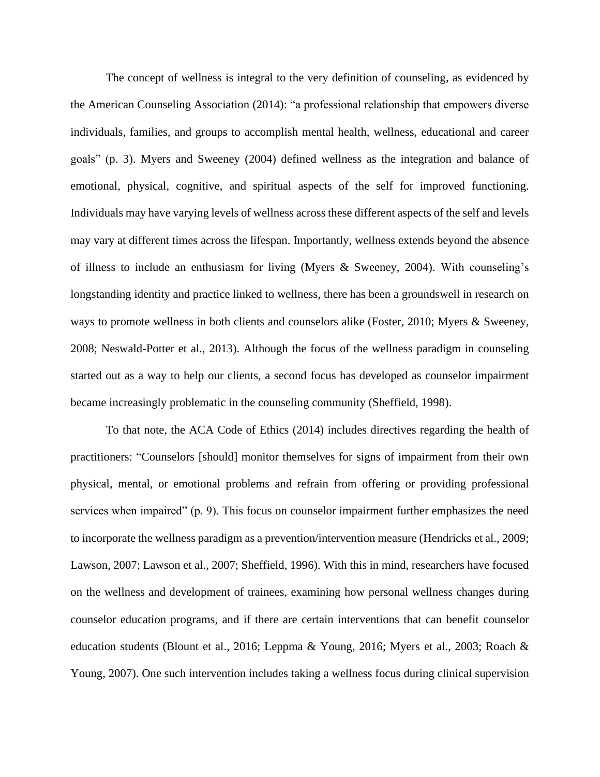The concept of wellness is integral to the very definition of counseling, as evidenced by the American Counseling Association (2014): "a professional relationship that empowers diverse individuals, families, and groups to accomplish mental health, wellness, educational and career goals" (p. 3). Myers and Sweeney (2004) defined wellness as the integration and balance of emotional, physical, cognitive, and spiritual aspects of the self for improved functioning. Individuals may have varying levels of wellness across these different aspects of the self and levels may vary at different times across the lifespan. Importantly, wellness extends beyond the absence of illness to include an enthusiasm for living (Myers & Sweeney, 2004). With counseling's longstanding identity and practice linked to wellness, there has been a groundswell in research on ways to promote wellness in both clients and counselors alike (Foster, 2010; Myers & Sweeney, 2008; Neswald-Potter et al., 2013). Although the focus of the wellness paradigm in counseling started out as a way to help our clients, a second focus has developed as counselor impairment became increasingly problematic in the counseling community (Sheffield, 1998).

To that note, the ACA Code of Ethics (2014) includes directives regarding the health of practitioners: "Counselors [should] monitor themselves for signs of impairment from their own physical, mental, or emotional problems and refrain from offering or providing professional services when impaired" (p. 9). This focus on counselor impairment further emphasizes the need to incorporate the wellness paradigm as a prevention/intervention measure (Hendricks et al., 2009; Lawson, 2007; Lawson et al., 2007; Sheffield, 1996). With this in mind, researchers have focused on the wellness and development of trainees, examining how personal wellness changes during counselor education programs, and if there are certain interventions that can benefit counselor education students (Blount et al., 2016; Leppma & Young, 2016; Myers et al., 2003; Roach & Young, 2007). One such intervention includes taking a wellness focus during clinical supervision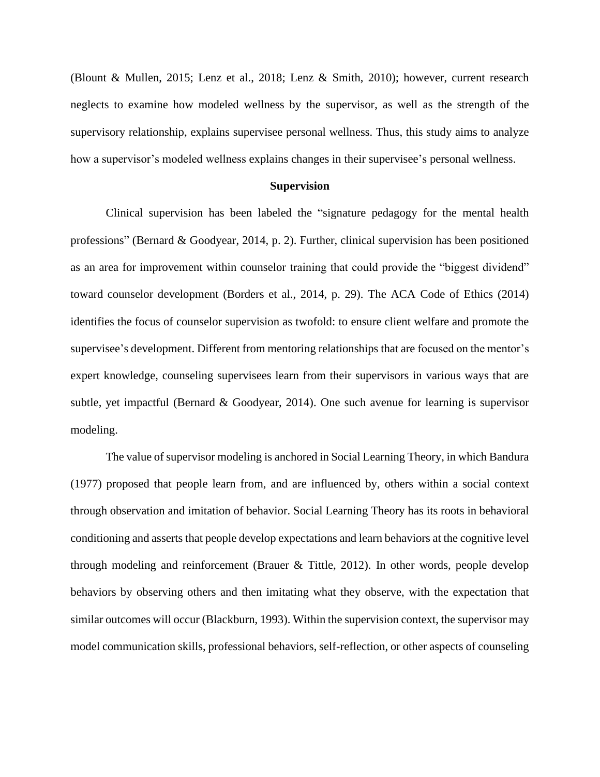(Blount & Mullen, 2015; Lenz et al., 2018; Lenz & Smith, 2010); however, current research neglects to examine how modeled wellness by the supervisor, as well as the strength of the supervisory relationship, explains supervisee personal wellness. Thus, this study aims to analyze how a supervisor's modeled wellness explains changes in their supervisee's personal wellness.

#### **Supervision**

Clinical supervision has been labeled the "signature pedagogy for the mental health professions" (Bernard & Goodyear, 2014, p. 2). Further, clinical supervision has been positioned as an area for improvement within counselor training that could provide the "biggest dividend" toward counselor development (Borders et al., 2014, p. 29). The ACA Code of Ethics (2014) identifies the focus of counselor supervision as twofold: to ensure client welfare and promote the supervisee's development. Different from mentoring relationships that are focused on the mentor's expert knowledge, counseling supervisees learn from their supervisors in various ways that are subtle, yet impactful (Bernard & Goodyear, 2014). One such avenue for learning is supervisor modeling.

The value of supervisor modeling is anchored in Social Learning Theory, in which Bandura (1977) proposed that people learn from, and are influenced by, others within a social context through observation and imitation of behavior. Social Learning Theory has its roots in behavioral conditioning and asserts that people develop expectations and learn behaviors at the cognitive level through modeling and reinforcement (Brauer & Tittle, 2012). In other words, people develop behaviors by observing others and then imitating what they observe, with the expectation that similar outcomes will occur (Blackburn, 1993). Within the supervision context, the supervisor may model communication skills, professional behaviors, self-reflection, or other aspects of counseling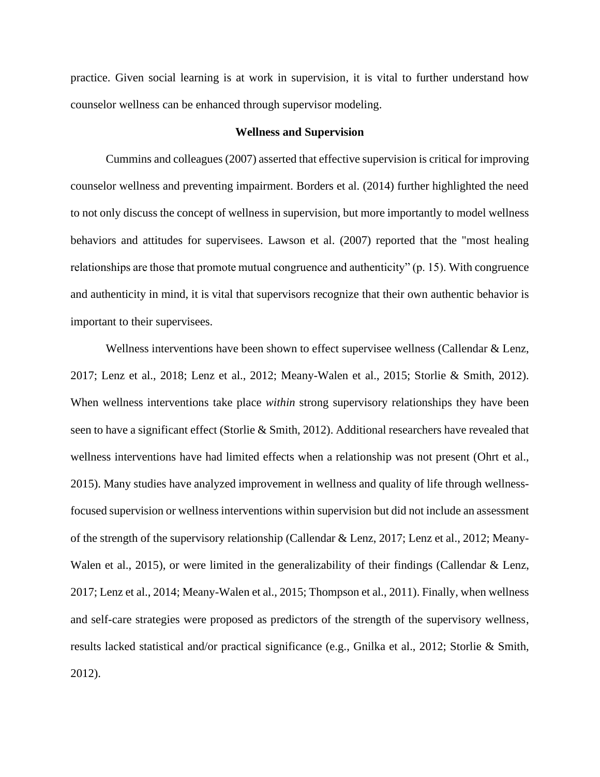practice. Given social learning is at work in supervision, it is vital to further understand how counselor wellness can be enhanced through supervisor modeling.

# **Wellness and Supervision**

Cummins and colleagues (2007) asserted that effective supervision is critical for improving counselor wellness and preventing impairment. Borders et al. (2014) further highlighted the need to not only discuss the concept of wellness in supervision, but more importantly to model wellness behaviors and attitudes for supervisees. Lawson et al. (2007) reported that the "most healing relationships are those that promote mutual congruence and authenticity" (p. 15). With congruence and authenticity in mind, it is vital that supervisors recognize that their own authentic behavior is important to their supervisees.

Wellness interventions have been shown to effect supervisee wellness (Callendar & Lenz, 2017; Lenz et al., 2018; Lenz et al., 2012; Meany-Walen et al., 2015; Storlie & Smith, 2012). When wellness interventions take place *within* strong supervisory relationships they have been seen to have a significant effect (Storlie & Smith, 2012). Additional researchers have revealed that wellness interventions have had limited effects when a relationship was not present (Ohrt et al., 2015). Many studies have analyzed improvement in wellness and quality of life through wellnessfocused supervision or wellness interventions within supervision but did not include an assessment of the strength of the supervisory relationship (Callendar & Lenz, 2017; Lenz et al., 2012; Meany-Walen et al., 2015), or were limited in the generalizability of their findings (Callendar & Lenz, 2017; Lenz et al., 2014; Meany-Walen et al., 2015; Thompson et al., 2011). Finally, when wellness and self-care strategies were proposed as predictors of the strength of the supervisory wellness, results lacked statistical and/or practical significance (e.g., Gnilka et al., 2012; Storlie & Smith, 2012).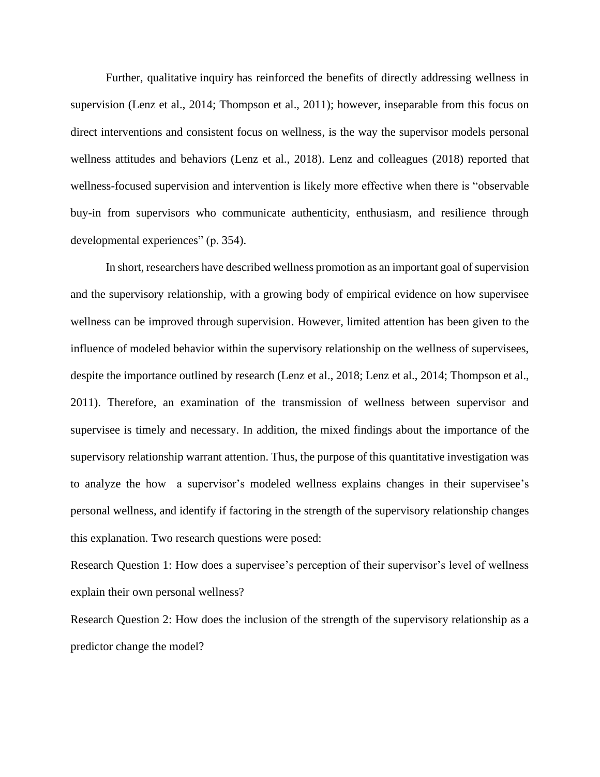Further, qualitative inquiry has reinforced the benefits of directly addressing wellness in supervision (Lenz et al., 2014; Thompson et al., 2011); however, inseparable from this focus on direct interventions and consistent focus on wellness, is the way the supervisor models personal wellness attitudes and behaviors (Lenz et al., 2018). Lenz and colleagues (2018) reported that wellness-focused supervision and intervention is likely more effective when there is "observable buy-in from supervisors who communicate authenticity, enthusiasm, and resilience through developmental experiences" (p. 354).

In short, researchers have described wellness promotion as an important goal of supervision and the supervisory relationship, with a growing body of empirical evidence on how supervisee wellness can be improved through supervision. However, limited attention has been given to the influence of modeled behavior within the supervisory relationship on the wellness of supervisees, despite the importance outlined by research (Lenz et al., 2018; Lenz et al., 2014; Thompson et al., 2011). Therefore, an examination of the transmission of wellness between supervisor and supervisee is timely and necessary. In addition, the mixed findings about the importance of the supervisory relationship warrant attention. Thus, the purpose of this quantitative investigation was to analyze the how a supervisor's modeled wellness explains changes in their supervisee's personal wellness, and identify if factoring in the strength of the supervisory relationship changes this explanation. Two research questions were posed:

Research Question 1: How does a supervisee's perception of their supervisor's level of wellness explain their own personal wellness?

Research Question 2: How does the inclusion of the strength of the supervisory relationship as a predictor change the model?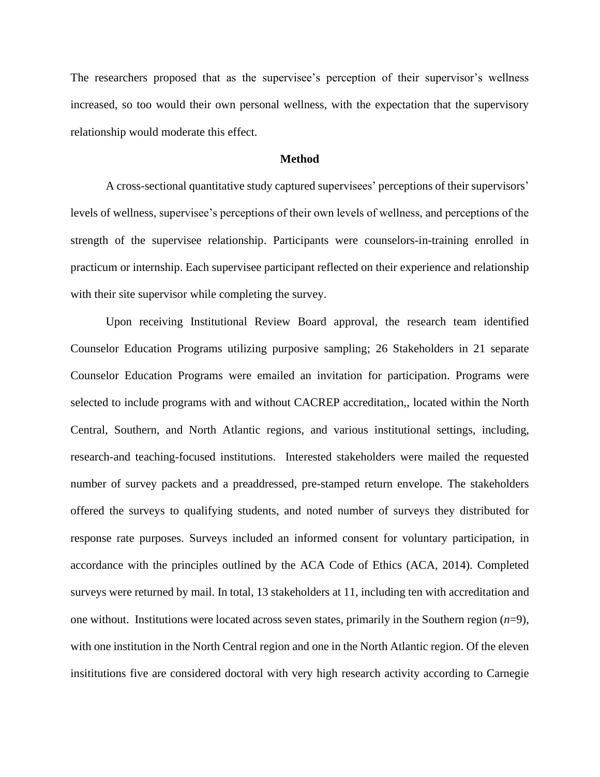The researchers proposed that as the supervisee's perception of their supervisor's wellness increased, so too would their own personal wellness, with the expectation that the supervisory relationship would moderate this effect.

# **Method**

A cross-sectional quantitative study captured supervisees' perceptions of their supervisors' levels of wellness, supervisee's perceptions of their own levels of wellness, and perceptions of the strength of the supervisee relationship. Participants were counselors-in-training enrolled in practicum or internship. Each supervisee participant reflected on their experience and relationship with their site supervisor while completing the survey.

Upon receiving Institutional Review Board approval, the research team identified Counselor Education Programs utilizing purposive sampling; 26 Stakeholders in 21 separate Counselor Education Programs were emailed an invitation for participation. Programs were selected to include programs with and without CACREP accreditation,, located within the North Central, Southern, and North Atlantic regions, and various institutional settings, including, research-and teaching-focused institutions. Interested stakeholders were mailed the requested number of survey packets and a preaddressed, pre-stamped return envelope. The stakeholders offered the surveys to qualifying students, and noted number of surveys they distributed for response rate purposes. Surveys included an informed consent for voluntary participation, in accordance with the principles outlined by the ACA Code of Ethics (ACA, 2014). Completed surveys were returned by mail. In total, 13 stakeholders at 11, including ten with accreditation and one without. Institutions were located across seven states, primarily in the Southern region (*n*=9), with one institution in the North Central region and one in the North Atlantic region. Of the eleven insititutions five are considered doctoral with very high research activity according to Carnegie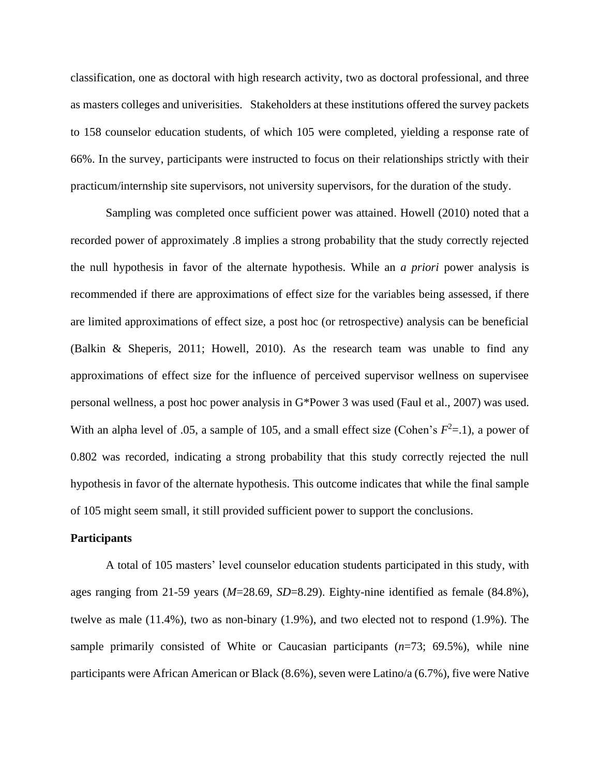classification, one as doctoral with high research activity, two as doctoral professional, and three as masters colleges and univerisities. Stakeholders at these institutions offered the survey packets to 158 counselor education students, of which 105 were completed, yielding a response rate of 66%. In the survey, participants were instructed to focus on their relationships strictly with their practicum/internship site supervisors, not university supervisors, for the duration of the study.

Sampling was completed once sufficient power was attained. Howell (2010) noted that a recorded power of approximately .8 implies a strong probability that the study correctly rejected the null hypothesis in favor of the alternate hypothesis. While an *a priori* power analysis is recommended if there are approximations of effect size for the variables being assessed, if there are limited approximations of effect size, a post hoc (or retrospective) analysis can be beneficial (Balkin & Sheperis, 2011; Howell, 2010). As the research team was unable to find any approximations of effect size for the influence of perceived supervisor wellness on supervisee personal wellness, a post hoc power analysis in G\*Power 3 was used (Faul et al., 2007) was used. With an alpha level of .05, a sample of 105, and a small effect size (Cohen's  $F^2$ =.1), a power of 0.802 was recorded, indicating a strong probability that this study correctly rejected the null hypothesis in favor of the alternate hypothesis. This outcome indicates that while the final sample of 105 might seem small, it still provided sufficient power to support the conclusions.

#### **Participants**

A total of 105 masters' level counselor education students participated in this study, with ages ranging from 21-59 years (*M*=28.69, *SD*=8.29). Eighty-nine identified as female (84.8%), twelve as male (11.4%), two as non-binary (1.9%), and two elected not to respond (1.9%). The sample primarily consisted of White or Caucasian participants (*n*=73; 69.5%), while nine participants were African American or Black (8.6%), seven were Latino/a (6.7%), five were Native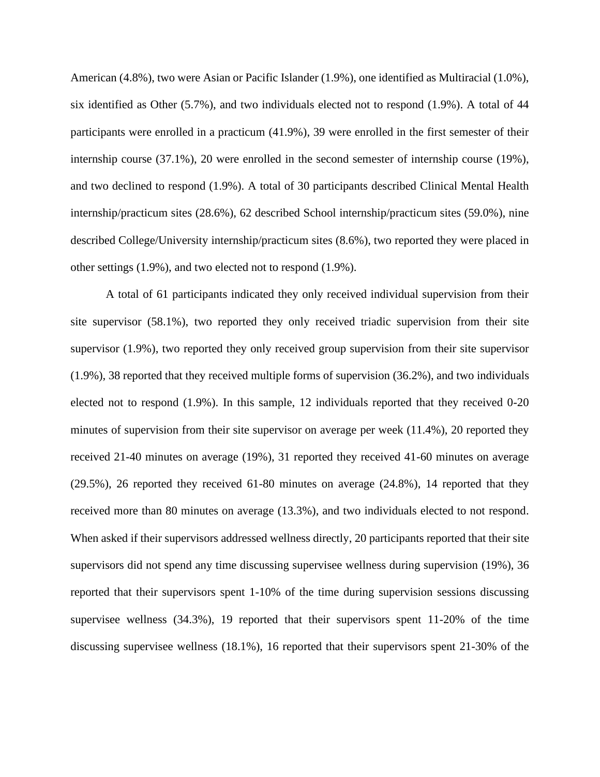American (4.8%), two were Asian or Pacific Islander (1.9%), one identified as Multiracial (1.0%), six identified as Other (5.7%), and two individuals elected not to respond (1.9%). A total of 44 participants were enrolled in a practicum (41.9%), 39 were enrolled in the first semester of their internship course (37.1%), 20 were enrolled in the second semester of internship course (19%), and two declined to respond (1.9%). A total of 30 participants described Clinical Mental Health internship/practicum sites (28.6%), 62 described School internship/practicum sites (59.0%), nine described College/University internship/practicum sites (8.6%), two reported they were placed in other settings (1.9%), and two elected not to respond (1.9%).

A total of 61 participants indicated they only received individual supervision from their site supervisor (58.1%), two reported they only received triadic supervision from their site supervisor (1.9%), two reported they only received group supervision from their site supervisor (1.9%), 38 reported that they received multiple forms of supervision (36.2%), and two individuals elected not to respond (1.9%). In this sample, 12 individuals reported that they received 0-20 minutes of supervision from their site supervisor on average per week (11.4%), 20 reported they received 21-40 minutes on average (19%), 31 reported they received 41-60 minutes on average (29.5%), 26 reported they received 61-80 minutes on average (24.8%), 14 reported that they received more than 80 minutes on average (13.3%), and two individuals elected to not respond. When asked if their supervisors addressed wellness directly, 20 participants reported that their site supervisors did not spend any time discussing supervisee wellness during supervision (19%), 36 reported that their supervisors spent 1-10% of the time during supervision sessions discussing supervisee wellness (34.3%), 19 reported that their supervisors spent 11-20% of the time discussing supervisee wellness (18.1%), 16 reported that their supervisors spent 21-30% of the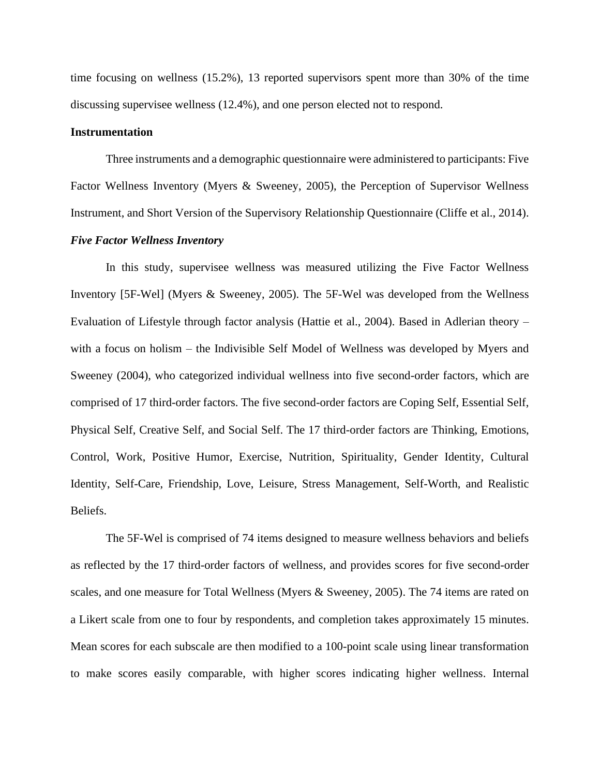time focusing on wellness (15.2%), 13 reported supervisors spent more than 30% of the time discussing supervisee wellness (12.4%), and one person elected not to respond.

# **Instrumentation**

Three instruments and a demographic questionnaire were administered to participants: Five Factor Wellness Inventory (Myers & Sweeney, 2005), the Perception of Supervisor Wellness Instrument, and Short Version of the Supervisory Relationship Questionnaire (Cliffe et al., 2014).

## *Five Factor Wellness Inventory*

In this study, supervisee wellness was measured utilizing the Five Factor Wellness Inventory [5F-Wel] (Myers & Sweeney, 2005). The 5F-Wel was developed from the Wellness Evaluation of Lifestyle through factor analysis (Hattie et al., 2004). Based in Adlerian theory – with a focus on holism – the Indivisible Self Model of Wellness was developed by Myers and Sweeney (2004), who categorized individual wellness into five second-order factors, which are comprised of 17 third-order factors. The five second-order factors are Coping Self, Essential Self, Physical Self, Creative Self, and Social Self. The 17 third-order factors are Thinking, Emotions, Control, Work, Positive Humor, Exercise, Nutrition, Spirituality, Gender Identity, Cultural Identity, Self-Care, Friendship, Love, Leisure, Stress Management, Self-Worth, and Realistic Beliefs.

The 5F-Wel is comprised of 74 items designed to measure wellness behaviors and beliefs as reflected by the 17 third-order factors of wellness, and provides scores for five second-order scales, and one measure for Total Wellness (Myers & Sweeney, 2005). The 74 items are rated on a Likert scale from one to four by respondents, and completion takes approximately 15 minutes. Mean scores for each subscale are then modified to a 100-point scale using linear transformation to make scores easily comparable, with higher scores indicating higher wellness. Internal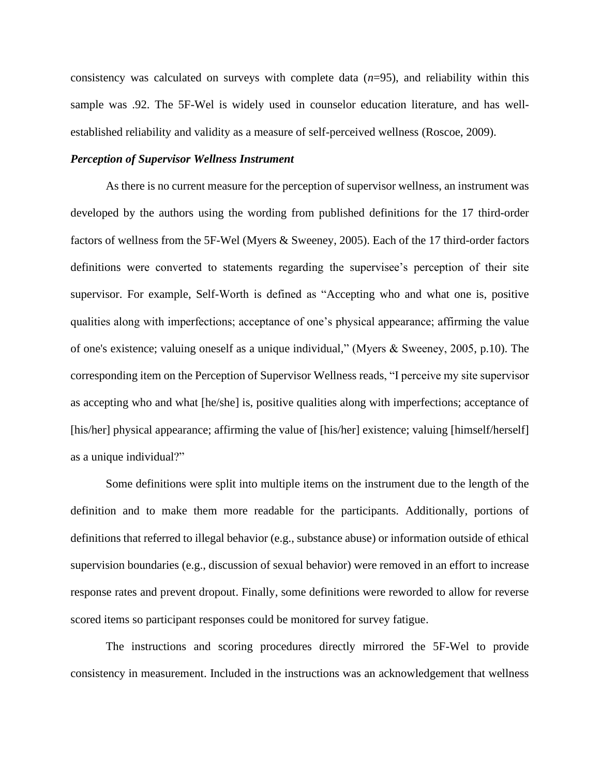consistency was calculated on surveys with complete data (*n*=95), and reliability within this sample was .92. The 5F-Wel is widely used in counselor education literature, and has wellestablished reliability and validity as a measure of self-perceived wellness (Roscoe, 2009).

# *Perception of Supervisor Wellness Instrument*

As there is no current measure for the perception of supervisor wellness, an instrument was developed by the authors using the wording from published definitions for the 17 third-order factors of wellness from the 5F-Wel (Myers & Sweeney, 2005). Each of the 17 third-order factors definitions were converted to statements regarding the supervisee's perception of their site supervisor. For example, Self-Worth is defined as "Accepting who and what one is, positive qualities along with imperfections; acceptance of one's physical appearance; affirming the value of one's existence; valuing oneself as a unique individual," (Myers & Sweeney, 2005, p.10). The corresponding item on the Perception of Supervisor Wellness reads, "I perceive my site supervisor as accepting who and what [he/she] is, positive qualities along with imperfections; acceptance of [his/her] physical appearance; affirming the value of [his/her] existence; valuing [himself/herself] as a unique individual?"

Some definitions were split into multiple items on the instrument due to the length of the definition and to make them more readable for the participants. Additionally, portions of definitions that referred to illegal behavior (e.g., substance abuse) or information outside of ethical supervision boundaries (e.g., discussion of sexual behavior) were removed in an effort to increase response rates and prevent dropout. Finally, some definitions were reworded to allow for reverse scored items so participant responses could be monitored for survey fatigue.

The instructions and scoring procedures directly mirrored the 5F-Wel to provide consistency in measurement. Included in the instructions was an acknowledgement that wellness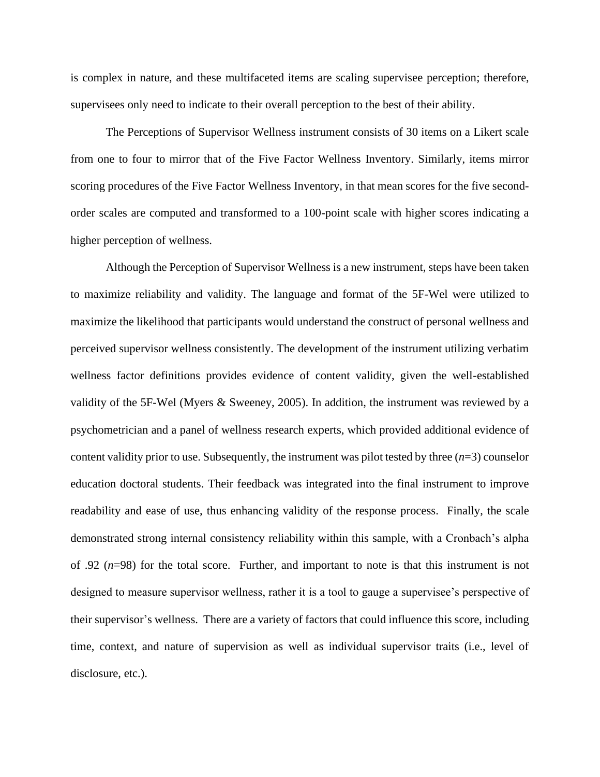is complex in nature, and these multifaceted items are scaling supervisee perception; therefore, supervisees only need to indicate to their overall perception to the best of their ability.

The Perceptions of Supervisor Wellness instrument consists of 30 items on a Likert scale from one to four to mirror that of the Five Factor Wellness Inventory. Similarly, items mirror scoring procedures of the Five Factor Wellness Inventory, in that mean scores for the five secondorder scales are computed and transformed to a 100-point scale with higher scores indicating a higher perception of wellness.

Although the Perception of Supervisor Wellness is a new instrument, steps have been taken to maximize reliability and validity. The language and format of the 5F-Wel were utilized to maximize the likelihood that participants would understand the construct of personal wellness and perceived supervisor wellness consistently. The development of the instrument utilizing verbatim wellness factor definitions provides evidence of content validity, given the well-established validity of the 5F-Wel (Myers & Sweeney, 2005). In addition, the instrument was reviewed by a psychometrician and a panel of wellness research experts, which provided additional evidence of content validity prior to use. Subsequently, the instrument was pilot tested by three  $(n=3)$  counselor education doctoral students. Their feedback was integrated into the final instrument to improve readability and ease of use, thus enhancing validity of the response process. Finally, the scale demonstrated strong internal consistency reliability within this sample, with a Cronbach's alpha of .92 (*n*=98) for the total score. Further, and important to note is that this instrument is not designed to measure supervisor wellness, rather it is a tool to gauge a supervisee's perspective of their supervisor's wellness. There are a variety of factors that could influence this score, including time, context, and nature of supervision as well as individual supervisor traits (i.e., level of disclosure, etc.).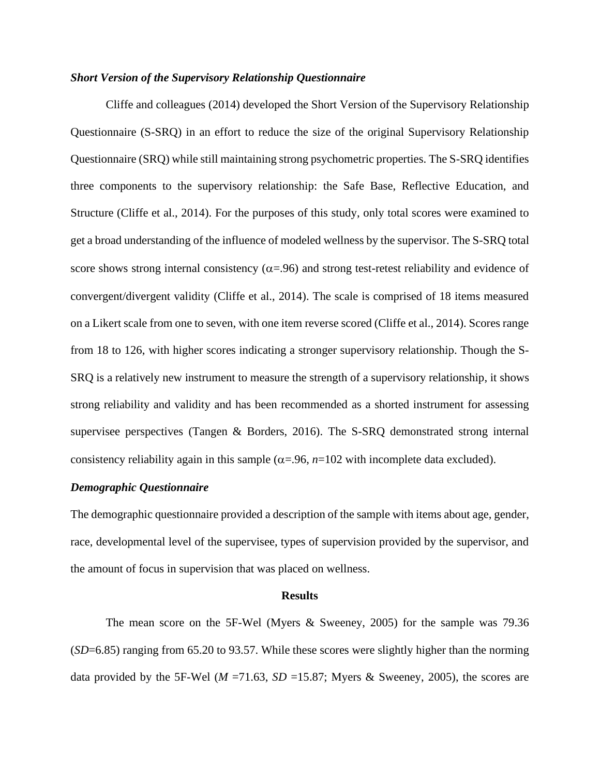# *Short Version of the Supervisory Relationship Questionnaire*

Cliffe and colleagues (2014) developed the Short Version of the Supervisory Relationship Questionnaire (S-SRQ) in an effort to reduce the size of the original Supervisory Relationship Questionnaire (SRQ) while still maintaining strong psychometric properties. The S-SRQ identifies three components to the supervisory relationship: the Safe Base, Reflective Education, and Structure (Cliffe et al., 2014). For the purposes of this study, only total scores were examined to get a broad understanding of the influence of modeled wellness by the supervisor. The S-SRQ total score shows strong internal consistency ( $\alpha$ =.96) and strong test-retest reliability and evidence of convergent/divergent validity (Cliffe et al., 2014). The scale is comprised of 18 items measured on a Likert scale from one to seven, with one item reverse scored (Cliffe et al., 2014). Scores range from 18 to 126, with higher scores indicating a stronger supervisory relationship. Though the S-SRQ is a relatively new instrument to measure the strength of a supervisory relationship, it shows strong reliability and validity and has been recommended as a shorted instrument for assessing supervisee perspectives (Tangen & Borders, 2016). The S-SRQ demonstrated strong internal consistency reliability again in this sample ( $\alpha$ =.96, *n*=102 with incomplete data excluded).

# *Demographic Questionnaire*

The demographic questionnaire provided a description of the sample with items about age, gender, race, developmental level of the supervisee, types of supervision provided by the supervisor, and the amount of focus in supervision that was placed on wellness.

#### **Results**

The mean score on the 5F-Wel (Myers & Sweeney, 2005) for the sample was 79.36 (*SD*=6.85) ranging from 65.20 to 93.57. While these scores were slightly higher than the norming data provided by the 5F-Wel ( $M = 71.63$ ,  $SD = 15.87$ ; Myers & Sweeney, 2005), the scores are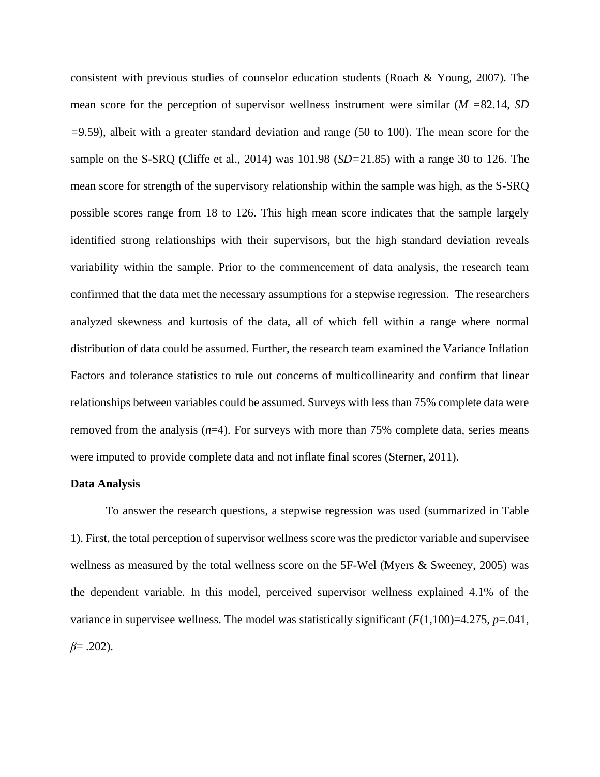consistent with previous studies of counselor education students (Roach & Young, 2007). The mean score for the perception of supervisor wellness instrument were similar (*M =*82.14, *SD =*9.59), albeit with a greater standard deviation and range (50 to 100). The mean score for the sample on the S-SRQ (Cliffe et al., 2014) was 101.98 (*SD=*21.85) with a range 30 to 126. The mean score for strength of the supervisory relationship within the sample was high, as the S-SRQ possible scores range from 18 to 126. This high mean score indicates that the sample largely identified strong relationships with their supervisors, but the high standard deviation reveals variability within the sample. Prior to the commencement of data analysis, the research team confirmed that the data met the necessary assumptions for a stepwise regression. The researchers analyzed skewness and kurtosis of the data, all of which fell within a range where normal distribution of data could be assumed. Further, the research team examined the Variance Inflation Factors and tolerance statistics to rule out concerns of multicollinearity and confirm that linear relationships between variables could be assumed. Surveys with less than 75% complete data were removed from the analysis  $(n=4)$ . For surveys with more than 75% complete data, series means were imputed to provide complete data and not inflate final scores (Sterner, 2011).

#### **Data Analysis**

To answer the research questions, a stepwise regression was used (summarized in Table 1). First, the total perception of supervisor wellness score was the predictor variable and supervisee wellness as measured by the total wellness score on the 5F-Wel (Myers & Sweeney, 2005) was the dependent variable. In this model, perceived supervisor wellness explained 4.1% of the variance in supervisee wellness. The model was statistically significant  $(F(1,100)=4.275, p=.041,$ *β*= .202).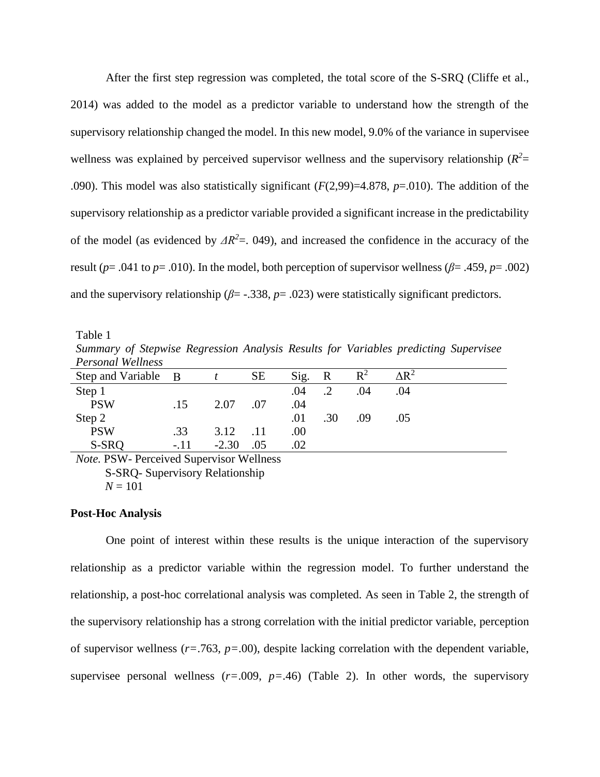After the first step regression was completed, the total score of the S-SRQ (Cliffe et al., 2014) was added to the model as a predictor variable to understand how the strength of the supervisory relationship changed the model. In this new model, 9.0% of the variance in supervisee wellness was explained by perceived supervisor wellness and the supervisory relationship  $(R^2=$ .090). This model was also statistically significant (*F*(2,99)=4.878, *p*=.010). The addition of the supervisory relationship as a predictor variable provided a significant increase in the predictability of the model (as evidenced by  $\Delta R^2$ =. 049), and increased the confidence in the accuracy of the result ( $p = .041$  to  $p = .010$ ). In the model, both perception of supervisor wellness ( $\beta = .459$ ,  $p = .002$ ) and the supervisory relationship ( $\beta$ = -.338,  $p$ = .023) were statistically significant predictors.

Table 1 *Summary of Stepwise Regression Analysis Results for Variables predicting Supervisee Personal Wellness*

| T CHOOTHER H CHILLON                             |        |            |           |         |              |                |              |
|--------------------------------------------------|--------|------------|-----------|---------|--------------|----------------|--------------|
| Step and Variable B                              |        |            | <b>SE</b> | Sig.    | $\mathbb{R}$ | $\mathbb{R}^2$ | $\Delta R^2$ |
| Step 1                                           |        |            |           | .04     |              | .04            | .04          |
| <b>PSW</b>                                       | .15    | 2.07       | .07       | .04     |              |                |              |
| Step 2                                           |        |            |           | .01     | .30          | .09            | .05          |
| <b>PSW</b>                                       | .33    | $3.12$ .11 |           | $.00\,$ |              |                |              |
| S-SRQ                                            | $-.11$ | $-2.30$    | .05       | .02     |              |                |              |
| $M_{\rm tot}$ DCW D. , $10$ , , $M_{\rm tot}$ 1. |        |            |           |         |              |                |              |

*Note.* PSW- Perceived Supervisor Wellness S-SRQ- Supervisory Relationship  $N = 101$ 

#### **Post-Hoc Analysis**

One point of interest within these results is the unique interaction of the supervisory relationship as a predictor variable within the regression model. To further understand the relationship, a post-hoc correlational analysis was completed. As seen in Table 2, the strength of the supervisory relationship has a strong correlation with the initial predictor variable, perception of supervisor wellness (*r=*.763, *p=*.00), despite lacking correlation with the dependent variable, supervisee personal wellness  $(r=.009, p=.46)$  (Table 2). In other words, the supervisory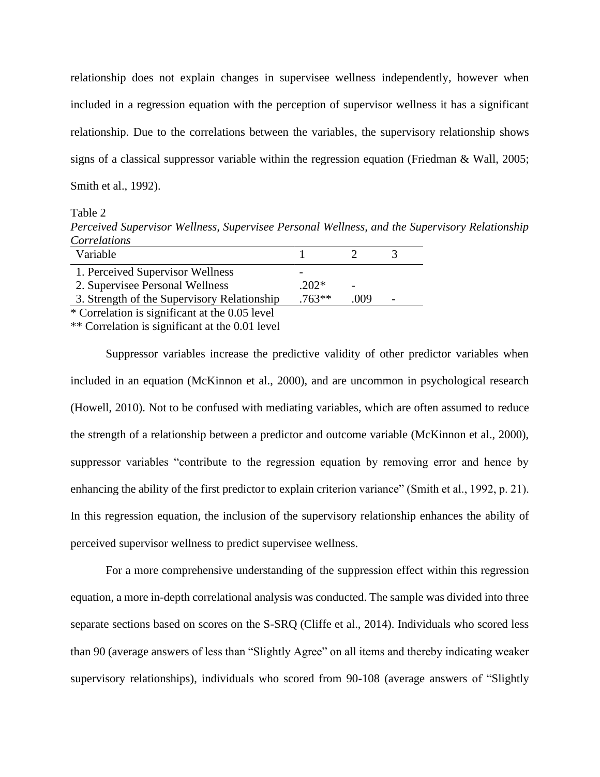relationship does not explain changes in supervisee wellness independently, however when included in a regression equation with the perception of supervisor wellness it has a significant relationship. Due to the correlations between the variables, the supervisory relationship shows signs of a classical suppressor variable within the regression equation (Friedman & Wall, 2005; Smith et al., 1992).

Table 2

*Perceived Supervisor Wellness, Supervisee Personal Wellness, and the Supervisory Relationship Correlations*

| Variable                                       |          |      | ≺ |  |
|------------------------------------------------|----------|------|---|--|
| 1. Perceived Supervisor Wellness               |          |      |   |  |
| 2. Supervisee Personal Wellness                | $.202*$  |      |   |  |
| 3. Strength of the Supervisory Relationship    | $.763**$ | .009 |   |  |
| * Correlation is significant at the 0.05 level |          |      |   |  |
|                                                |          |      |   |  |

\*\* Correlation is significant at the 0.01 level

Suppressor variables increase the predictive validity of other predictor variables when included in an equation (McKinnon et al., 2000), and are uncommon in psychological research (Howell, 2010). Not to be confused with mediating variables, which are often assumed to reduce the strength of a relationship between a predictor and outcome variable (McKinnon et al., 2000), suppressor variables "contribute to the regression equation by removing error and hence by enhancing the ability of the first predictor to explain criterion variance" (Smith et al., 1992, p. 21). In this regression equation, the inclusion of the supervisory relationship enhances the ability of perceived supervisor wellness to predict supervisee wellness.

For a more comprehensive understanding of the suppression effect within this regression equation, a more in-depth correlational analysis was conducted. The sample was divided into three separate sections based on scores on the S-SRQ (Cliffe et al., 2014). Individuals who scored less than 90 (average answers of less than "Slightly Agree" on all items and thereby indicating weaker supervisory relationships), individuals who scored from 90-108 (average answers of "Slightly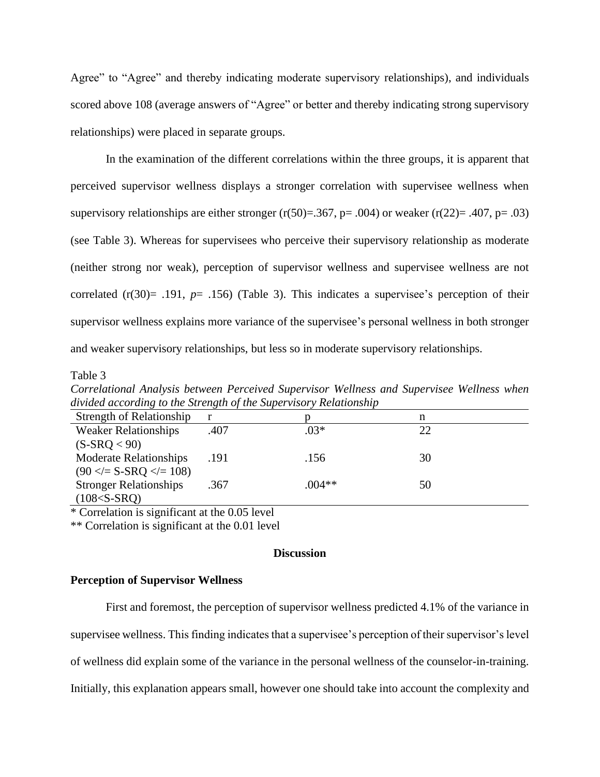Agree" to "Agree" and thereby indicating moderate supervisory relationships), and individuals scored above 108 (average answers of "Agree" or better and thereby indicating strong supervisory relationships) were placed in separate groups.

In the examination of the different correlations within the three groups, it is apparent that perceived supervisor wellness displays a stronger correlation with supervisee wellness when supervisory relationships are either stronger  $(r(50)=.367, p=.004)$  or weaker  $(r(22)=.407, p=.03)$ (see Table 3). Whereas for supervisees who perceive their supervisory relationship as moderate (neither strong nor weak), perception of supervisor wellness and supervisee wellness are not correlated  $(r(30) = .191, p = .156)$  (Table 3). This indicates a supervisee's perception of their supervisor wellness explains more variance of the supervisee's personal wellness in both stronger and weaker supervisory relationships, but less so in moderate supervisory relationships.

#### Table 3

*Correlational Analysis between Perceived Supervisor Wellness and Supervisee Wellness when divided according to the Strength of the Supervisory Relationship*

| <b>Strength of Relationship</b> |      |          | n  |
|---------------------------------|------|----------|----|
| <b>Weaker Relationships</b>     | .407 | $.03*$   | 22 |
| $(S-SRQ < 90)$                  |      |          |    |
| <b>Moderate Relationships</b>   | .191 | .156     | 30 |
| $(90 \leq S$ -SRQ $\leq$ = 108) |      |          |    |
| <b>Stronger Relationships</b>   | .367 | $.004**$ | 50 |
| $(108 < S-SRQ)$                 |      |          |    |

\* Correlation is significant at the 0.05 level

\*\* Correlation is significant at the 0.01 level

# **Discussion**

## **Perception of Supervisor Wellness**

First and foremost, the perception of supervisor wellness predicted 4.1% of the variance in supervisee wellness. This finding indicates that a supervisee's perception of their supervisor's level of wellness did explain some of the variance in the personal wellness of the counselor-in-training. Initially, this explanation appears small, however one should take into account the complexity and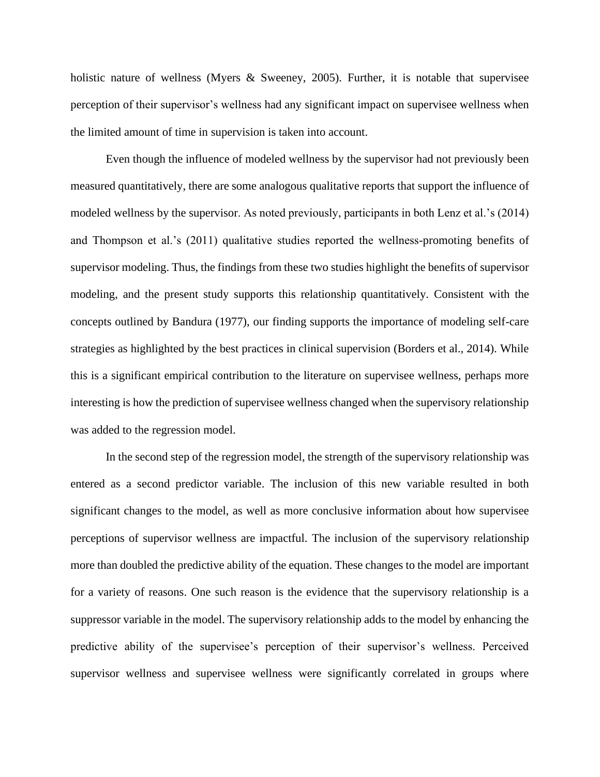holistic nature of wellness (Myers & Sweeney, 2005). Further, it is notable that supervisee perception of their supervisor's wellness had any significant impact on supervisee wellness when the limited amount of time in supervision is taken into account.

Even though the influence of modeled wellness by the supervisor had not previously been measured quantitatively, there are some analogous qualitative reports that support the influence of modeled wellness by the supervisor. As noted previously, participants in both Lenz et al.'s (2014) and Thompson et al.'s (2011) qualitative studies reported the wellness-promoting benefits of supervisor modeling. Thus, the findings from these two studies highlight the benefits of supervisor modeling, and the present study supports this relationship quantitatively. Consistent with the concepts outlined by Bandura (1977), our finding supports the importance of modeling self-care strategies as highlighted by the best practices in clinical supervision (Borders et al., 2014). While this is a significant empirical contribution to the literature on supervisee wellness, perhaps more interesting is how the prediction of supervisee wellness changed when the supervisory relationship was added to the regression model.

In the second step of the regression model, the strength of the supervisory relationship was entered as a second predictor variable. The inclusion of this new variable resulted in both significant changes to the model, as well as more conclusive information about how supervisee perceptions of supervisor wellness are impactful. The inclusion of the supervisory relationship more than doubled the predictive ability of the equation. These changes to the model are important for a variety of reasons. One such reason is the evidence that the supervisory relationship is a suppressor variable in the model. The supervisory relationship adds to the model by enhancing the predictive ability of the supervisee's perception of their supervisor's wellness. Perceived supervisor wellness and supervisee wellness were significantly correlated in groups where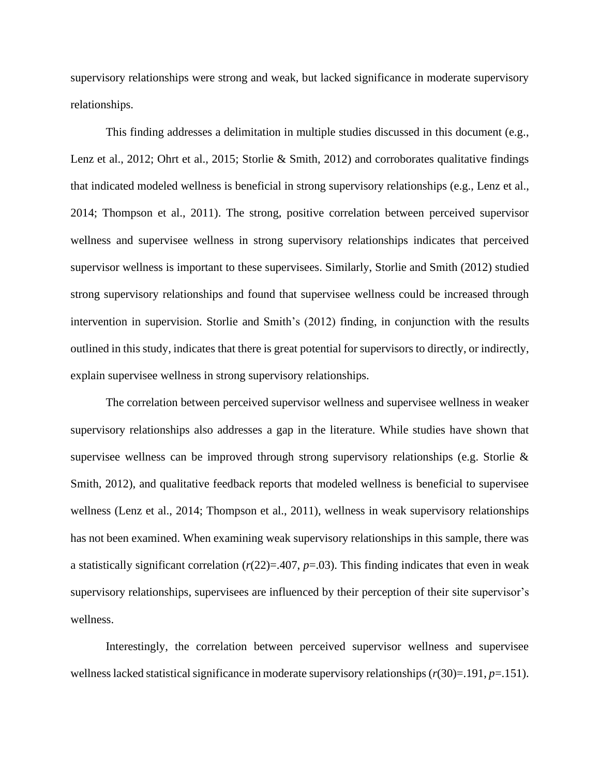supervisory relationships were strong and weak, but lacked significance in moderate supervisory relationships.

This finding addresses a delimitation in multiple studies discussed in this document (e.g., Lenz et al., 2012; Ohrt et al., 2015; Storlie & Smith, 2012) and corroborates qualitative findings that indicated modeled wellness is beneficial in strong supervisory relationships (e.g., Lenz et al., 2014; Thompson et al., 2011). The strong, positive correlation between perceived supervisor wellness and supervisee wellness in strong supervisory relationships indicates that perceived supervisor wellness is important to these supervisees. Similarly, Storlie and Smith (2012) studied strong supervisory relationships and found that supervisee wellness could be increased through intervention in supervision. Storlie and Smith's (2012) finding, in conjunction with the results outlined in this study, indicates that there is great potential for supervisors to directly, or indirectly, explain supervisee wellness in strong supervisory relationships.

The correlation between perceived supervisor wellness and supervisee wellness in weaker supervisory relationships also addresses a gap in the literature. While studies have shown that supervisee wellness can be improved through strong supervisory relationships (e.g. Storlie & Smith, 2012), and qualitative feedback reports that modeled wellness is beneficial to supervisee wellness (Lenz et al., 2014; Thompson et al., 2011), wellness in weak supervisory relationships has not been examined. When examining weak supervisory relationships in this sample, there was a statistically significant correlation  $(r(22)=.407, p=.03)$ . This finding indicates that even in weak supervisory relationships, supervisees are influenced by their perception of their site supervisor's wellness.

Interestingly, the correlation between perceived supervisor wellness and supervisee wellness lacked statistical significance in moderate supervisory relationships (*r*(30)=.191, *p*=.151).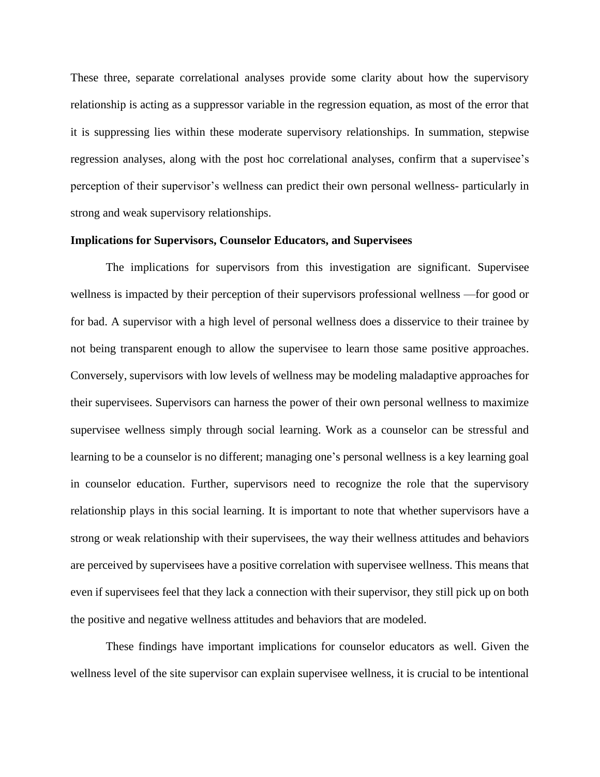These three, separate correlational analyses provide some clarity about how the supervisory relationship is acting as a suppressor variable in the regression equation, as most of the error that it is suppressing lies within these moderate supervisory relationships. In summation, stepwise regression analyses, along with the post hoc correlational analyses, confirm that a supervisee's perception of their supervisor's wellness can predict their own personal wellness- particularly in strong and weak supervisory relationships.

# **Implications for Supervisors, Counselor Educators, and Supervisees**

The implications for supervisors from this investigation are significant. Supervisee wellness is impacted by their perception of their supervisors professional wellness —for good or for bad. A supervisor with a high level of personal wellness does a disservice to their trainee by not being transparent enough to allow the supervisee to learn those same positive approaches. Conversely, supervisors with low levels of wellness may be modeling maladaptive approaches for their supervisees. Supervisors can harness the power of their own personal wellness to maximize supervisee wellness simply through social learning. Work as a counselor can be stressful and learning to be a counselor is no different; managing one's personal wellness is a key learning goal in counselor education. Further, supervisors need to recognize the role that the supervisory relationship plays in this social learning. It is important to note that whether supervisors have a strong or weak relationship with their supervisees, the way their wellness attitudes and behaviors are perceived by supervisees have a positive correlation with supervisee wellness. This means that even if supervisees feel that they lack a connection with their supervisor, they still pick up on both the positive and negative wellness attitudes and behaviors that are modeled.

These findings have important implications for counselor educators as well. Given the wellness level of the site supervisor can explain supervisee wellness, it is crucial to be intentional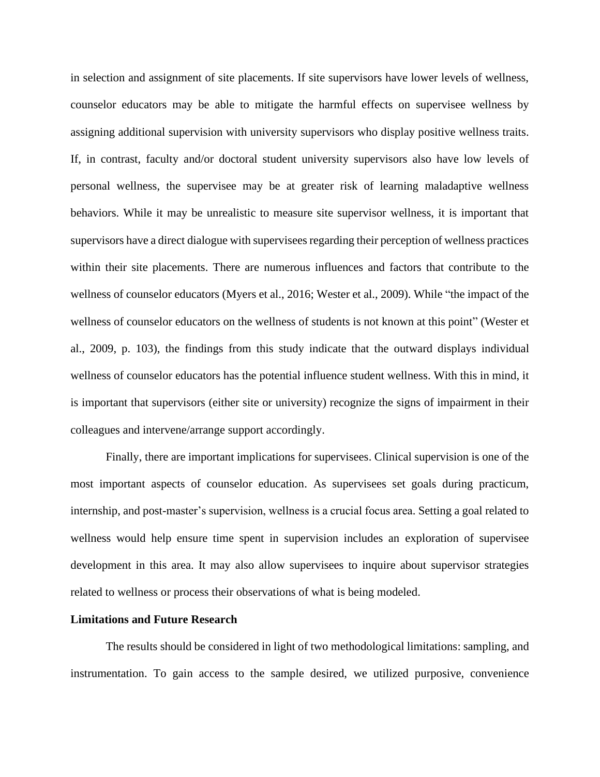in selection and assignment of site placements. If site supervisors have lower levels of wellness, counselor educators may be able to mitigate the harmful effects on supervisee wellness by assigning additional supervision with university supervisors who display positive wellness traits. If, in contrast, faculty and/or doctoral student university supervisors also have low levels of personal wellness, the supervisee may be at greater risk of learning maladaptive wellness behaviors. While it may be unrealistic to measure site supervisor wellness, it is important that supervisors have a direct dialogue with supervisees regarding their perception of wellness practices within their site placements. There are numerous influences and factors that contribute to the wellness of counselor educators (Myers et al., 2016; Wester et al., 2009). While "the impact of the wellness of counselor educators on the wellness of students is not known at this point" (Wester et al., 2009, p. 103), the findings from this study indicate that the outward displays individual wellness of counselor educators has the potential influence student wellness. With this in mind, it is important that supervisors (either site or university) recognize the signs of impairment in their colleagues and intervene/arrange support accordingly.

Finally, there are important implications for supervisees. Clinical supervision is one of the most important aspects of counselor education. As supervisees set goals during practicum, internship, and post-master's supervision, wellness is a crucial focus area. Setting a goal related to wellness would help ensure time spent in supervision includes an exploration of supervisee development in this area. It may also allow supervisees to inquire about supervisor strategies related to wellness or process their observations of what is being modeled.

#### **Limitations and Future Research**

The results should be considered in light of two methodological limitations: sampling, and instrumentation. To gain access to the sample desired, we utilized purposive, convenience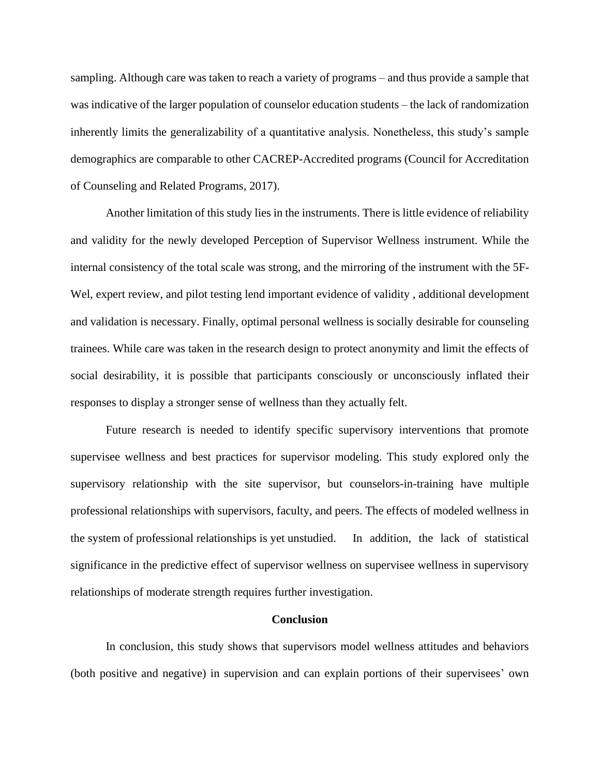sampling. Although care was taken to reach a variety of programs – and thus provide a sample that was indicative of the larger population of counselor education students – the lack of randomization inherently limits the generalizability of a quantitative analysis. Nonetheless, this study's sample demographics are comparable to other CACREP-Accredited programs (Council for Accreditation of Counseling and Related Programs, 2017).

Another limitation of this study lies in the instruments. There is little evidence of reliability and validity for the newly developed Perception of Supervisor Wellness instrument. While the internal consistency of the total scale was strong, and the mirroring of the instrument with the 5F-Wel, expert review, and pilot testing lend important evidence of validity , additional development and validation is necessary. Finally, optimal personal wellness is socially desirable for counseling trainees. While care was taken in the research design to protect anonymity and limit the effects of social desirability, it is possible that participants consciously or unconsciously inflated their responses to display a stronger sense of wellness than they actually felt.

Future research is needed to identify specific supervisory interventions that promote supervisee wellness and best practices for supervisor modeling. This study explored only the supervisory relationship with the site supervisor, but counselors-in-training have multiple professional relationships with supervisors, faculty, and peers. The effects of modeled wellness in the system of professional relationships is yet unstudied. In addition, the lack of statistical significance in the predictive effect of supervisor wellness on supervisee wellness in supervisory relationships of moderate strength requires further investigation.

## **Conclusion**

In conclusion, this study shows that supervisors model wellness attitudes and behaviors (both positive and negative) in supervision and can explain portions of their supervisees' own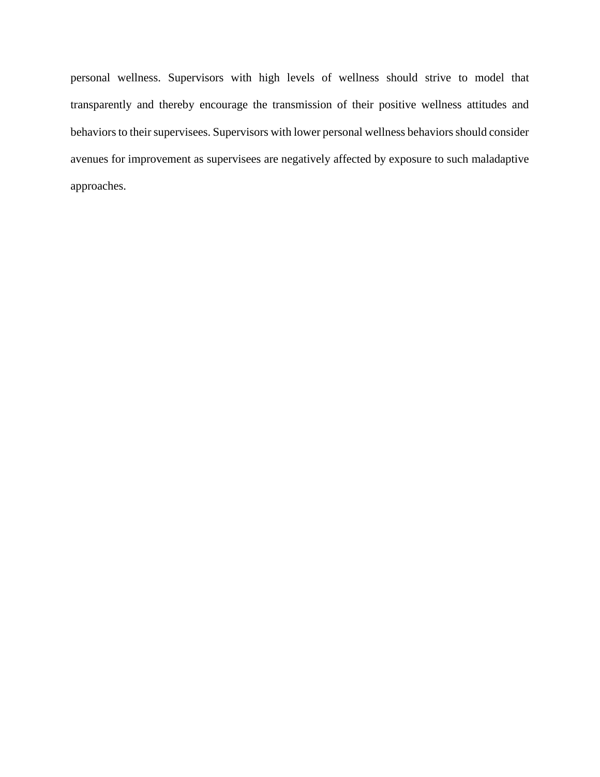personal wellness. Supervisors with high levels of wellness should strive to model that transparently and thereby encourage the transmission of their positive wellness attitudes and behaviors to their supervisees. Supervisors with lower personal wellness behaviors should consider avenues for improvement as supervisees are negatively affected by exposure to such maladaptive approaches.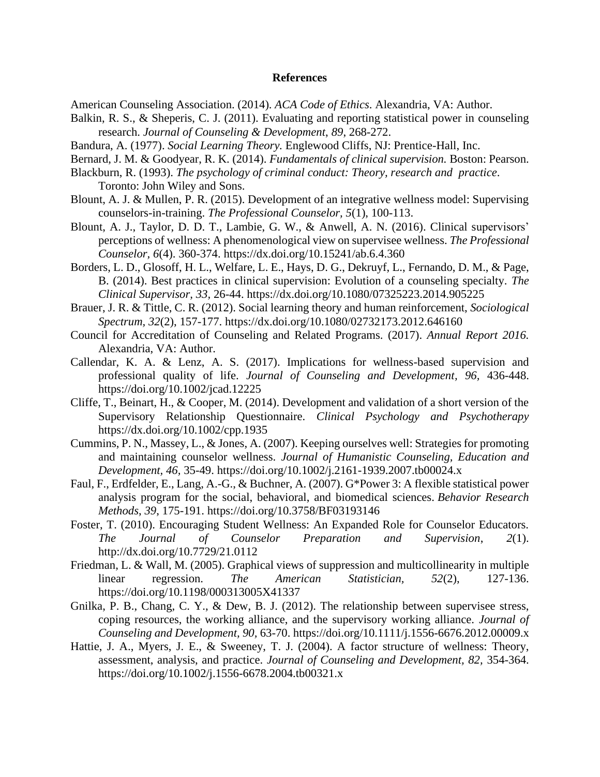#### **References**

American Counseling Association. (2014). *ACA Code of Ethics*. Alexandria, VA: Author.

- Balkin, R. S., & Sheperis, C. J. (2011). Evaluating and reporting statistical power in counseling research. *Journal of Counseling & Development*, *89*, 268-272.
- Bandura, A. (1977). *Social Learning Theory.* Englewood Cliffs, NJ: Prentice-Hall, Inc.
- Bernard, J. M. & Goodyear, R. K. (2014). *Fundamentals of clinical supervision.* Boston: Pearson.
- Blackburn, R. (1993). *The psychology of criminal conduct: Theory, research and practice*. Toronto: John Wiley and Sons.
- Blount, A. J. & Mullen, P. R. (2015). Development of an integrative wellness model: Supervising counselors-in-training. *The Professional Counselor, 5*(1), 100-113.
- Blount, A. J., Taylor, D. D. T., Lambie, G. W., & Anwell, A. N. (2016). Clinical supervisors' perceptions of wellness: A phenomenological view on supervisee wellness. *The Professional Counselor, 6*(4). 360-374. https://dx.doi.org/10.15241/ab.6.4.360
- Borders, L. D., Glosoff, H. L., Welfare, L. E., Hays, D. G., Dekruyf, L., Fernando, D. M., & Page, B. (2014). Best practices in clinical supervision: Evolution of a counseling specialty. *The Clinical Supervisor, 33,* 26-44. https://dx.doi.org/10.1080/07325223.2014.905225
- Brauer, J. R. & Tittle, C. R. (2012). Social learning theory and human reinforcement, *Sociological Spectrum, 32*(2), 157-177. https://dx.doi.org/10.1080/02732173.2012.646160
- Council for Accreditation of Counseling and Related Programs. (2017). *Annual Report 2016.*  Alexandria, VA: Author.
- Callendar, K. A. & Lenz, A. S. (2017). Implications for wellness-based supervision and professional quality of life. *Journal of Counseling and Development, 96,* 436-448. https://doi.org/10.1002/jcad.12225
- Cliffe, T., Beinart, H., & Cooper, M. (2014). Development and validation of a short version of the Supervisory Relationship Questionnaire. *Clinical Psychology and Psychotherapy*  https://dx.doi.org/10.1002/cpp.1935
- Cummins, P. N., Massey, L., & Jones, A. (2007). Keeping ourselves well: Strategies for promoting and maintaining counselor wellness. *Journal of Humanistic Counseling, Education and Development, 46,* 35-49. https://doi.org/10.1002/j.2161-1939.2007.tb00024.x
- Faul, F., Erdfelder, E., Lang, A.-G., & Buchner, A. (2007). G\*Power 3: A flexible statistical power analysis program for the social, behavioral, and biomedical sciences. *Behavior Research Methods*, *39*, 175-191. https://doi.org/10.3758/BF03193146
- Foster, T. (2010). Encouraging Student Wellness: An Expanded Role for Counselor Educators. *The Journal of Counselor Preparation and Supervision*, *2*(1). http://dx.doi.org/10.7729/21.0112
- Friedman, L. & Wall, M. (2005). Graphical views of suppression and multicollinearity in multiple linear regression. *The American Statistician, 52*(2), 127-136. https://doi.org/10.1198/000313005X41337
- Gnilka, P. B., Chang, C. Y., & Dew, B. J. (2012). The relationship between supervisee stress, coping resources, the working alliance, and the supervisory working alliance. *Journal of Counseling and Development, 90,* 63-70. https://doi.org/10.1111/j.1556-6676.2012.00009.x
- Hattie, J. A., Myers, J. E., & Sweeney, T. J. (2004). A factor structure of wellness: Theory, assessment, analysis, and practice. *Journal of Counseling and Development, 82,* 354-364. https://doi.org/10.1002/j.1556-6678.2004.tb00321.x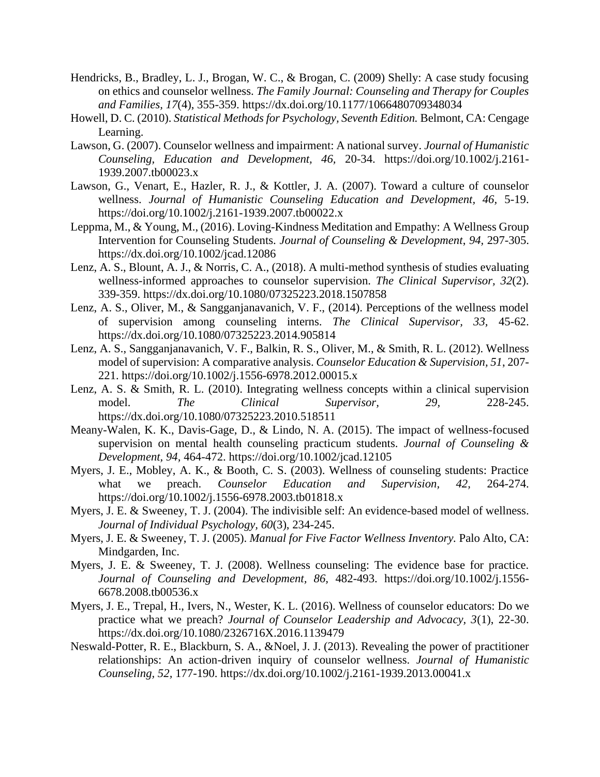- Hendricks, B., Bradley, L. J., Brogan, W. C., & Brogan, C. (2009) Shelly: A case study focusing on ethics and counselor wellness. *The Family Journal: Counseling and Therapy for Couples and Families, 17*(4), 355-359. https://dx.doi.org/10.1177/1066480709348034
- Howell, D. C. (2010). *Statistical Methods for Psychology, Seventh Edition.* Belmont, CA: Cengage Learning.
- Lawson, G. (2007). Counselor wellness and impairment: A national survey. *Journal of Humanistic Counseling, Education and Development, 46,* 20-34. https://doi.org/10.1002/j.2161- 1939.2007.tb00023.x
- Lawson, G., Venart, E., Hazler, R. J., & Kottler, J. A. (2007). Toward a culture of counselor wellness. *Journal of Humanistic Counseling Education and Development, 46,* 5-19. https://doi.org/10.1002/j.2161-1939.2007.tb00022.x
- Leppma, M., & Young, M., (2016). Loving-Kindness Meditation and Empathy: A Wellness Group Intervention for Counseling Students. *Journal of Counseling & Development*, *94,* 297-305. https://dx.doi.org/10.1002/jcad.12086
- Lenz, A. S., Blount, A. J., & Norris, C. A., (2018). A multi-method synthesis of studies evaluating wellness-informed approaches to counselor supervision. *The Clinical Supervisor, 32*(2). 339-359. https://dx.doi.org/10.1080/07325223.2018.1507858
- Lenz, A. S., Oliver, M., & Sangganjanavanich, V. F., (2014). Perceptions of the wellness model of supervision among counseling interns. *The Clinical Supervisor, 33,* 45-62. https://dx.doi.org/10.1080/07325223.2014.905814
- Lenz, A. S., Sangganjanavanich, V. F., Balkin, R. S., Oliver, M., & Smith, R. L. (2012). Wellness model of supervision: A comparative analysis. *Counselor Education & Supervision, 51*, 207- 221. https://doi.org/10.1002/j.1556-6978.2012.00015.x
- Lenz, A. S. & Smith, R. L. (2010). Integrating wellness concepts within a clinical supervision model. *The Clinical Supervisor, 29,* 228-245. https://dx.doi.org/10.1080/07325223.2010.518511
- Meany-Walen, K. K., Davis-Gage, D., & Lindo, N. A. (2015). The impact of wellness-focused supervision on mental health counseling practicum students. *Journal of Counseling & Development, 94,* 464-472. https://doi.org/10.1002/jcad.12105
- Myers, J. E., Mobley, A. K., & Booth, C. S. (2003). Wellness of counseling students: Practice what we preach. *Counselor Education and Supervision, 42,* 264-274. https://doi.org/10.1002/j.1556-6978.2003.tb01818.x
- Myers, J. E. & Sweeney, T. J. (2004). The indivisible self: An evidence-based model of wellness. *Journal of Individual Psychology, 60*(3), 234-245.
- Myers, J. E. & Sweeney, T. J. (2005). *Manual for Five Factor Wellness Inventory.* Palo Alto, CA: Mindgarden, Inc.
- Myers, J. E. & Sweeney, T. J. (2008). Wellness counseling: The evidence base for practice. *Journal of Counseling and Development, 86,* 482-493. https://doi.org/10.1002/j.1556- 6678.2008.tb00536.x
- Myers, J. E., Trepal, H., Ivers, N., Wester, K. L. (2016). Wellness of counselor educators: Do we practice what we preach? *Journal of Counselor Leadership and Advocacy, 3*(1), 22-30. https://dx.doi.org/10.1080/2326716X.2016.1139479
- Neswald-Potter, R. E., Blackburn, S. A., &Noel, J. J. (2013). Revealing the power of practitioner relationships: An action-driven inquiry of counselor wellness. *Journal of Humanistic Counseling, 52,* 177-190. https://dx.doi.org/10.1002/j.2161-1939.2013.00041.x